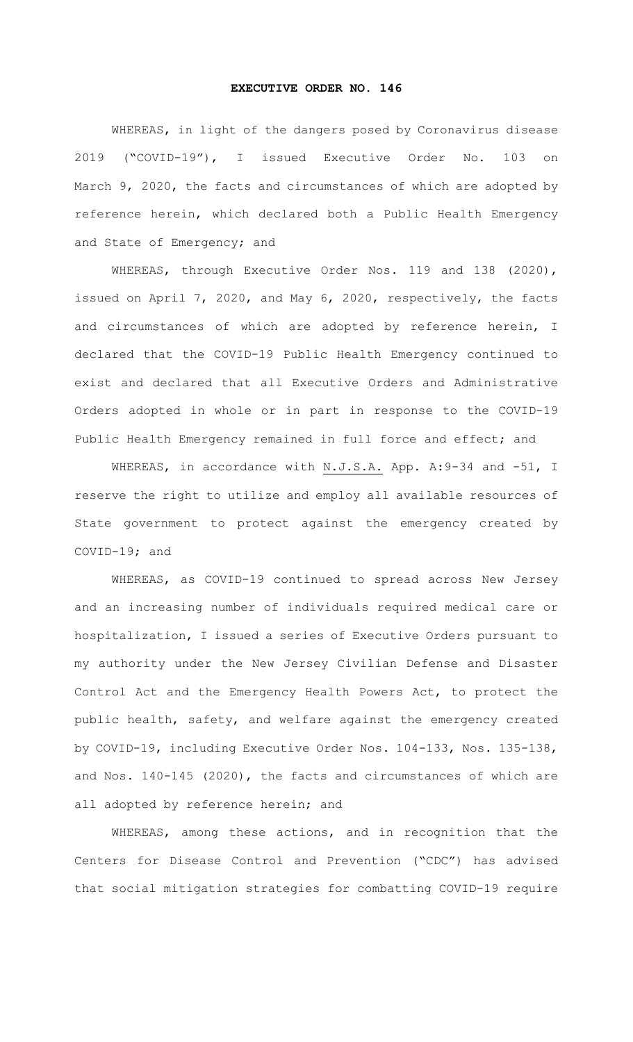## **EXECUTIVE ORDER NO. 146**

WHEREAS, in light of the dangers posed by Coronavirus disease 2019 ("COVID-19"), I issued Executive Order No. 103 on March 9, 2020, the facts and circumstances of which are adopted by reference herein, which declared both a Public Health Emergency and State of Emergency; and

WHEREAS, through Executive Order Nos. 119 and 138 (2020), issued on April 7, 2020, and May 6, 2020, respectively, the facts and circumstances of which are adopted by reference herein, I declared that the COVID-19 Public Health Emergency continued to exist and declared that all Executive Orders and Administrative Orders adopted in whole or in part in response to the COVID-19 Public Health Emergency remained in full force and effect; and

WHEREAS, in accordance with N.J.S.A. App. A: 9-34 and -51, I reserve the right to utilize and employ all available resources of State government to protect against the emergency created by COVID-19; and

WHEREAS, as COVID-19 continued to spread across New Jersey and an increasing number of individuals required medical care or hospitalization, I issued a series of Executive Orders pursuant to my authority under the New Jersey Civilian Defense and Disaster Control Act and the Emergency Health Powers Act, to protect the public health, safety, and welfare against the emergency created by COVID-19, including Executive Order Nos. 104-133, Nos. 135-138, and Nos. 140-145 (2020), the facts and circumstances of which are all adopted by reference herein; and

WHEREAS, among these actions, and in recognition that the Centers for Disease Control and Prevention ("CDC") has advised that social mitigation strategies for combatting COVID-19 require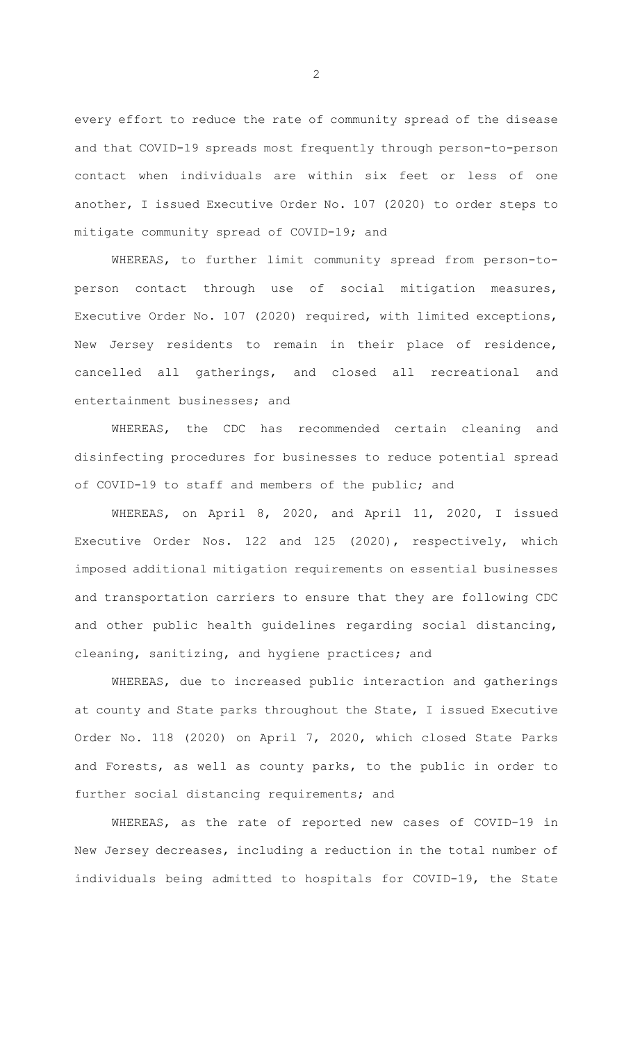every effort to reduce the rate of community spread of the disease and that COVID-19 spreads most frequently through person-to-person contact when individuals are within six feet or less of one another, I issued Executive Order No. 107 (2020) to order steps to mitigate community spread of COVID-19; and

WHEREAS, to further limit community spread from person-toperson contact through use of social mitigation measures, Executive Order No. 107 (2020) required, with limited exceptions, New Jersey residents to remain in their place of residence, cancelled all gatherings, and closed all recreational and entertainment businesses; and

WHEREAS, the CDC has recommended certain cleaning and disinfecting procedures for businesses to reduce potential spread of COVID-19 to staff and members of the public; and

WHEREAS, on April 8, 2020, and April 11, 2020, I issued Executive Order Nos. 122 and 125 (2020), respectively, which imposed additional mitigation requirements on essential businesses and transportation carriers to ensure that they are following CDC and other public health guidelines regarding social distancing, cleaning, sanitizing, and hygiene practices; and

WHEREAS, due to increased public interaction and gatherings at county and State parks throughout the State, I issued Executive Order No. 118 (2020) on April 7, 2020, which closed State Parks and Forests, as well as county parks, to the public in order to further social distancing requirements; and

WHEREAS, as the rate of reported new cases of COVID-19 in New Jersey decreases, including a reduction in the total number of individuals being admitted to hospitals for COVID-19, the State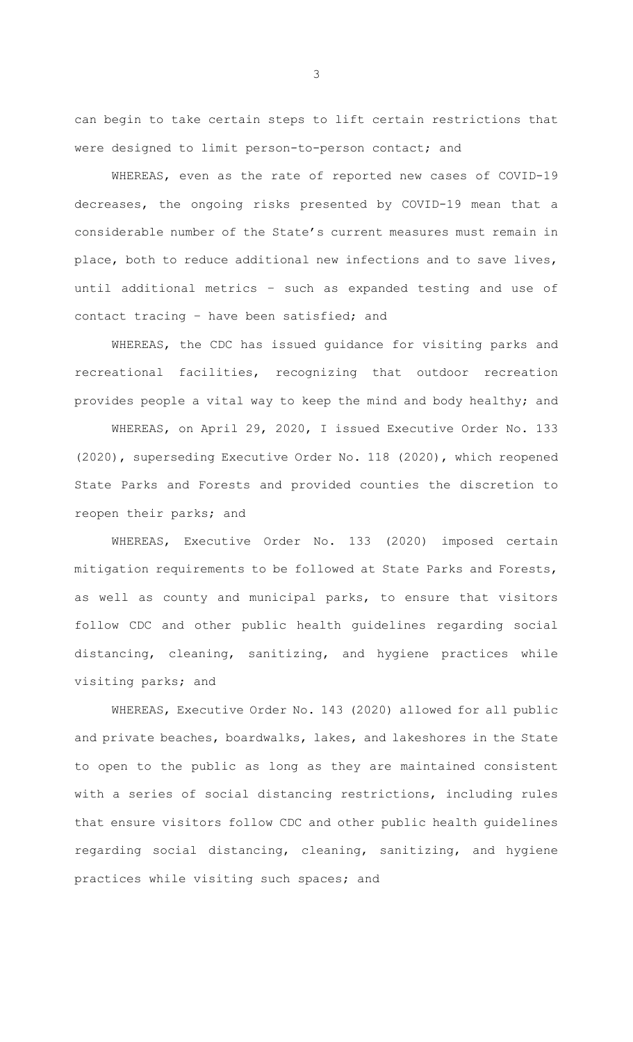can begin to take certain steps to lift certain restrictions that were designed to limit person-to-person contact; and

WHEREAS, even as the rate of reported new cases of COVID-19 decreases, the ongoing risks presented by COVID-19 mean that a considerable number of the State's current measures must remain in place, both to reduce additional new infections and to save lives, until additional metrics – such as expanded testing and use of contact tracing – have been satisfied; and

WHEREAS, the CDC has issued guidance for visiting parks and recreational facilities, recognizing that outdoor recreation provides people a vital way to keep the mind and body healthy; and

WHEREAS, on April 29, 2020, I issued Executive Order No. 133 (2020), superseding Executive Order No. 118 (2020), which reopened State Parks and Forests and provided counties the discretion to reopen their parks; and

WHEREAS, Executive Order No. 133 (2020) imposed certain mitigation requirements to be followed at State Parks and Forests, as well as county and municipal parks, to ensure that visitors follow CDC and other public health guidelines regarding social distancing, cleaning, sanitizing, and hygiene practices while visiting parks; and

WHEREAS, Executive Order No. 143 (2020) allowed for all public and private beaches, boardwalks, lakes, and lakeshores in the State to open to the public as long as they are maintained consistent with a series of social distancing restrictions, including rules that ensure visitors follow CDC and other public health guidelines regarding social distancing, cleaning, sanitizing, and hygiene practices while visiting such spaces; and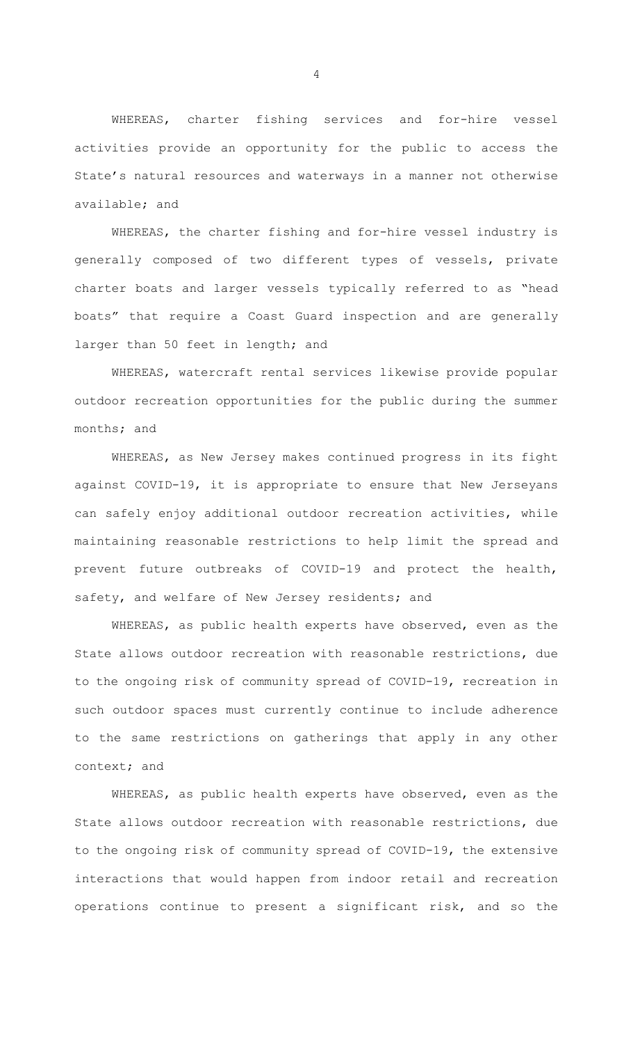WHEREAS, charter fishing services and for-hire vessel activities provide an opportunity for the public to access the State's natural resources and waterways in a manner not otherwise available; and

WHEREAS, the charter fishing and for-hire vessel industry is generally composed of two different types of vessels, private charter boats and larger vessels typically referred to as "head boats" that require a Coast Guard inspection and are generally larger than 50 feet in length; and

WHEREAS, watercraft rental services likewise provide popular outdoor recreation opportunities for the public during the summer months; and

WHEREAS, as New Jersey makes continued progress in its fight against COVID-19, it is appropriate to ensure that New Jerseyans can safely enjoy additional outdoor recreation activities, while maintaining reasonable restrictions to help limit the spread and prevent future outbreaks of COVID-19 and protect the health, safety, and welfare of New Jersey residents; and

WHEREAS, as public health experts have observed, even as the State allows outdoor recreation with reasonable restrictions, due to the ongoing risk of community spread of COVID-19, recreation in such outdoor spaces must currently continue to include adherence to the same restrictions on gatherings that apply in any other context; and

WHEREAS, as public health experts have observed, even as the State allows outdoor recreation with reasonable restrictions, due to the ongoing risk of community spread of COVID-19, the extensive interactions that would happen from indoor retail and recreation operations continue to present a significant risk, and so the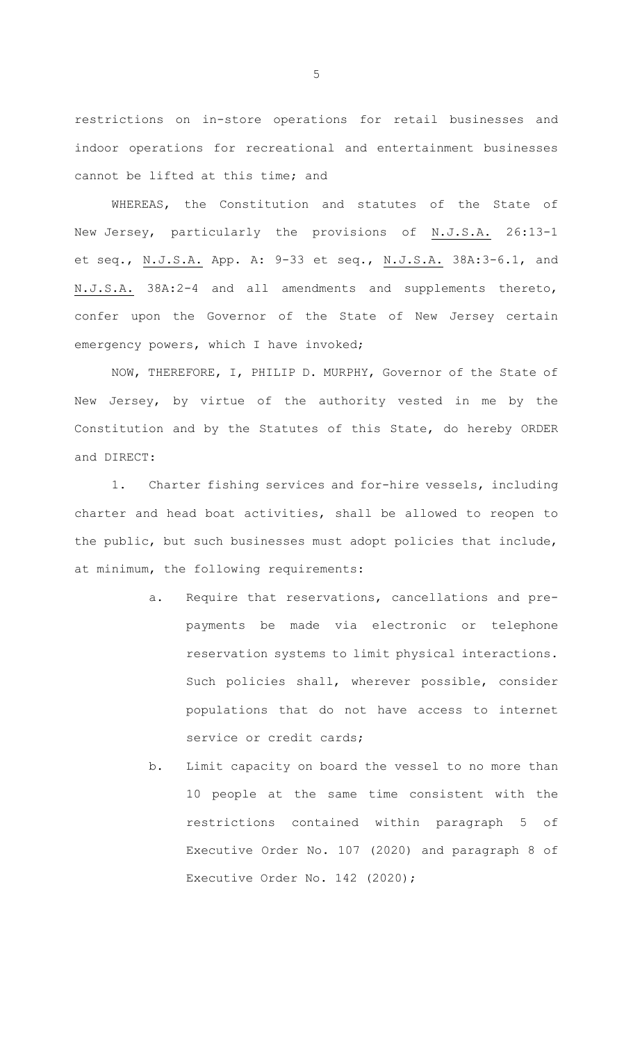restrictions on in-store operations for retail businesses and indoor operations for recreational and entertainment businesses cannot be lifted at this time; and

WHEREAS, the Constitution and statutes of the State of New Jersey, particularly the provisions of N.J.S.A. 26:13-1 et seq., N.J.S.A. App. A: 9-33 et seq., N.J.S.A. 38A:3-6.1, and N.J.S.A. 38A:2-4 and all amendments and supplements thereto, confer upon the Governor of the State of New Jersey certain emergency powers, which I have invoked;

NOW, THEREFORE, I, PHILIP D. MURPHY, Governor of the State of New Jersey, by virtue of the authority vested in me by the Constitution and by the Statutes of this State, do hereby ORDER and DIRECT:

1. Charter fishing services and for-hire vessels, including charter and head boat activities, shall be allowed to reopen to the public, but such businesses must adopt policies that include, at minimum, the following requirements:

- a. Require that reservations, cancellations and prepayments be made via electronic or telephone reservation systems to limit physical interactions. Such policies shall, wherever possible, consider populations that do not have access to internet service or credit cards;
- b. Limit capacity on board the vessel to no more than 10 people at the same time consistent with the restrictions contained within paragraph 5 of Executive Order No. 107 (2020) and paragraph 8 of Executive Order No. 142 (2020);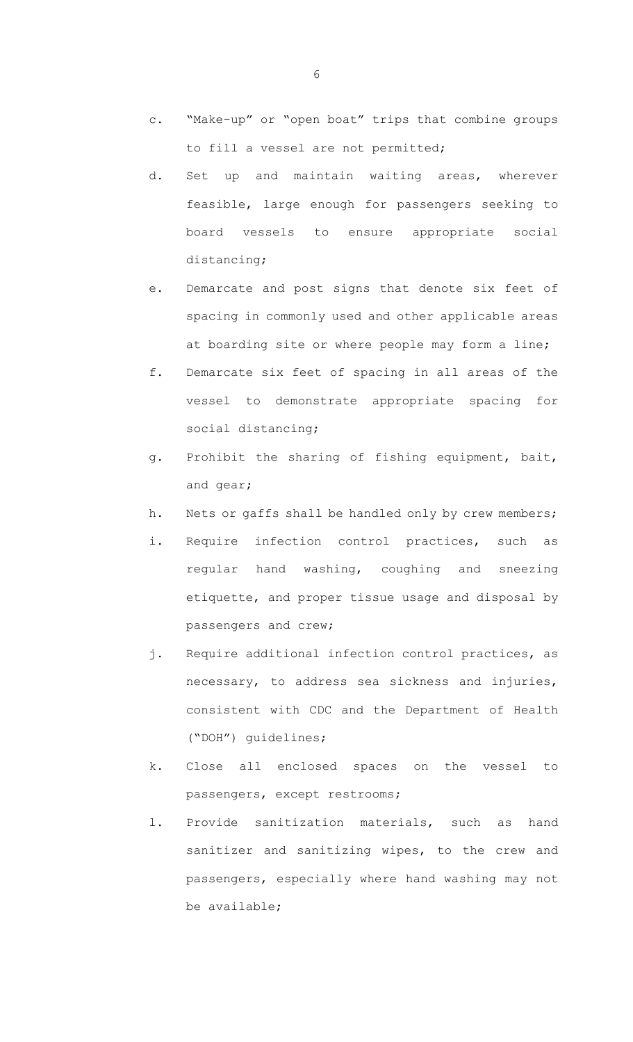- c. "Make-up" or "open boat" trips that combine groups to fill a vessel are not permitted;
- d. Set up and maintain waiting areas, wherever feasible, large enough for passengers seeking to board vessels to ensure appropriate social distancing;
- e. Demarcate and post signs that denote six feet of spacing in commonly used and other applicable areas at boarding site or where people may form a line;
- f. Demarcate six feet of spacing in all areas of the vessel to demonstrate appropriate spacing for social distancing;
- g. Prohibit the sharing of fishing equipment, bait, and gear;
- h. Nets or gaffs shall be handled only by crew members;
- i. Require infection control practices, such as regular hand washing, coughing and sneezing etiquette, and proper tissue usage and disposal by passengers and crew;
- j. Require additional infection control practices, as necessary, to address sea sickness and injuries, consistent with CDC and the Department of Health ("DOH") guidelines;
- k. Close all enclosed spaces on the vessel to passengers, except restrooms;
- l. Provide sanitization materials, such as hand sanitizer and sanitizing wipes, to the crew and passengers, especially where hand washing may not be available;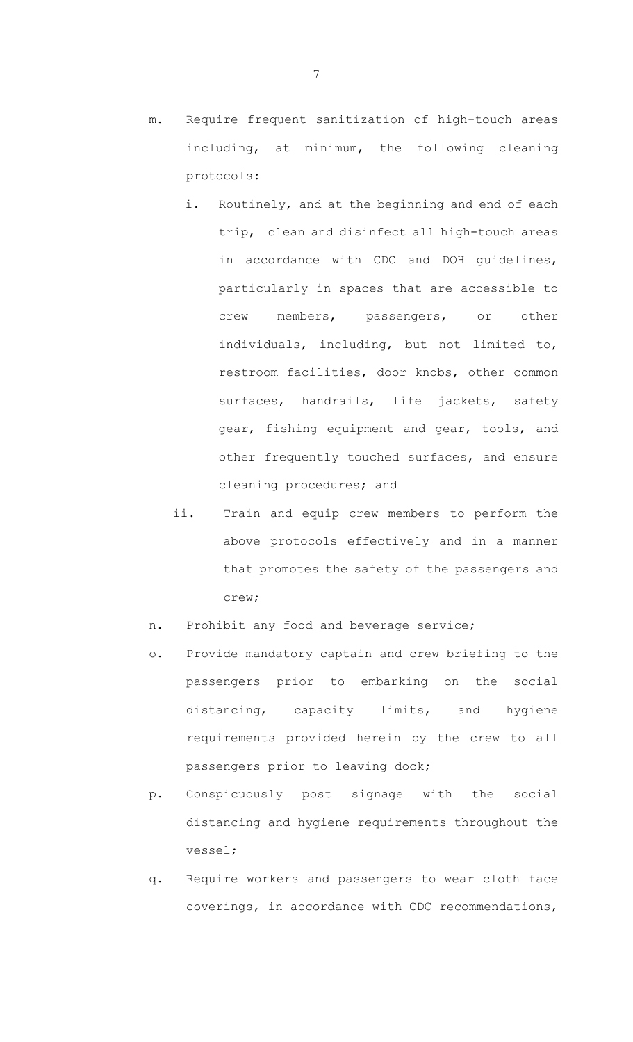- m. Require frequent sanitization of high-touch areas including, at minimum, the following cleaning protocols:
	- i. Routinely, and at the beginning and end of each trip, clean and disinfect all high-touch areas in accordance with CDC and DOH guidelines, particularly in spaces that are accessible to crew members, passengers, or other individuals, including, but not limited to, restroom facilities, door knobs, other common surfaces, handrails, life jackets, safety gear, fishing equipment and gear, tools, and other frequently touched surfaces, and ensure cleaning procedures; and
	- ii. Train and equip crew members to perform the above protocols effectively and in a manner that promotes the safety of the passengers and crew;
- n. Prohibit any food and beverage service;
- o. Provide mandatory captain and crew briefing to the passengers prior to embarking on the social distancing, capacity limits, and hygiene requirements provided herein by the crew to all passengers prior to leaving dock;
- p. Conspicuously post signage with the social distancing and hygiene requirements throughout the vessel;
- q. Require workers and passengers to wear cloth face coverings, in accordance with CDC recommendations,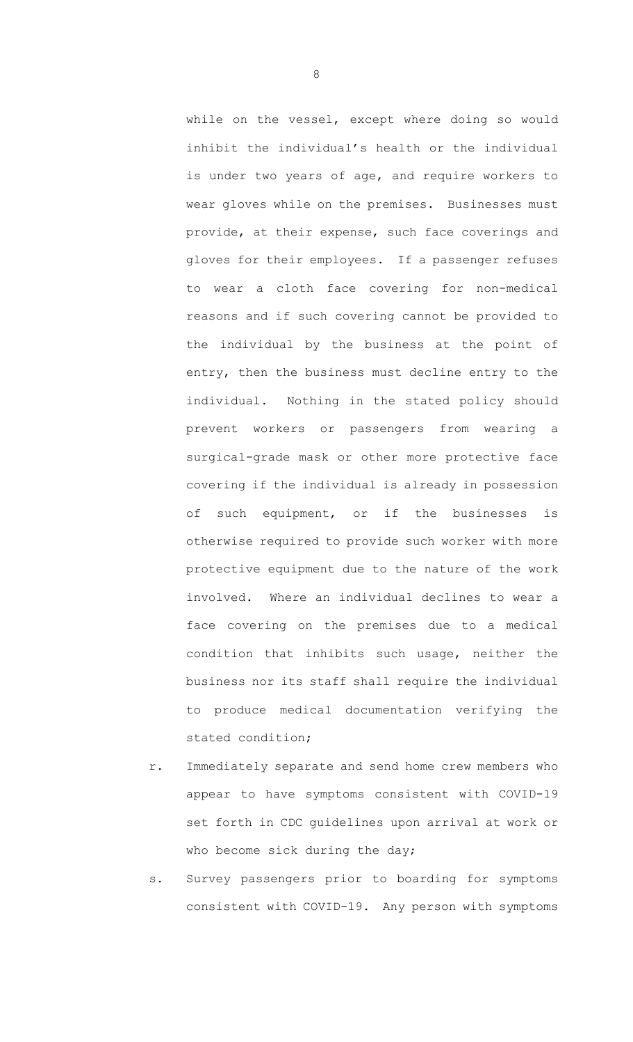while on the vessel, except where doing so would inhibit the individual's health or the individual is under two years of age, and require workers to wear gloves while on the premises. Businesses must provide, at their expense, such face coverings and gloves for their employees. If a passenger refuses to wear a cloth face covering for non-medical reasons and if such covering cannot be provided to the individual by the business at the point of entry, then the business must decline entry to the individual. Nothing in the stated policy should prevent workers or passengers from wearing a surgical-grade mask or other more protective face covering if the individual is already in possession of such equipment, or if the businesses is otherwise required to provide such worker with more protective equipment due to the nature of the work involved. Where an individual declines to wear a face covering on the premises due to a medical condition that inhibits such usage, neither the business nor its staff shall require the individual to produce medical documentation verifying the stated condition;

- r. Immediately separate and send home crew members who appear to have symptoms consistent with COVID-19 set forth in CDC guidelines upon arrival at work or who become sick during the day;
- s. Survey passengers prior to boarding for symptoms consistent with COVID-19. Any person with symptoms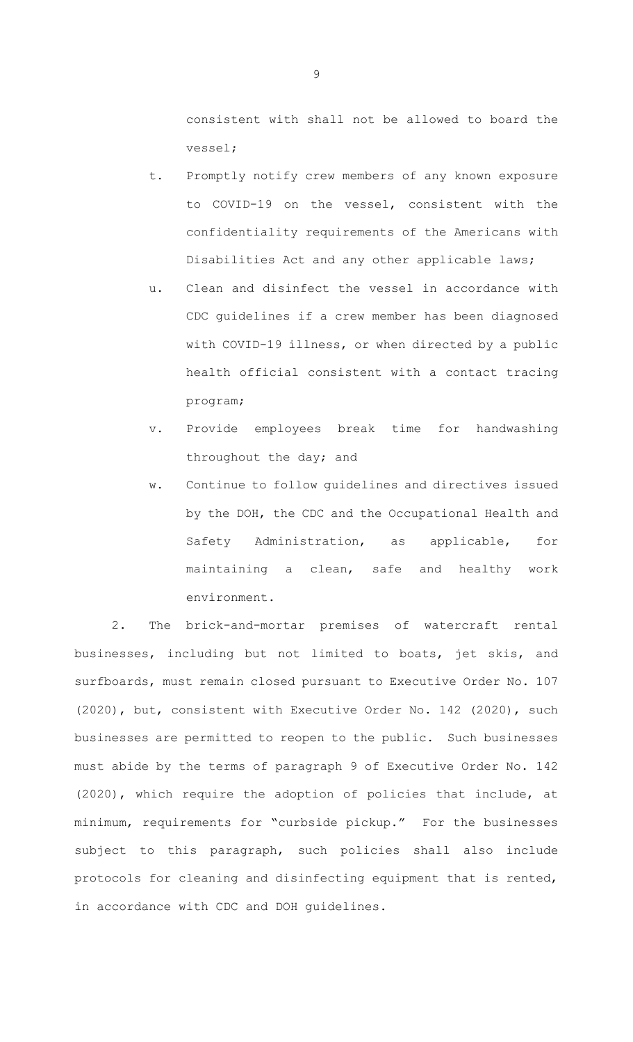consistent with shall not be allowed to board the vessel;

- t. Promptly notify crew members of any known exposure to COVID-19 on the vessel, consistent with the confidentiality requirements of the Americans with Disabilities Act and any other applicable laws;
- u. Clean and disinfect the vessel in accordance with CDC guidelines if a crew member has been diagnosed with COVID-19 illness, or when directed by a public health official consistent with a contact tracing program;
- v. Provide employees break time for handwashing throughout the day; and
- w. Continue to follow guidelines and directives issued by the DOH, the CDC and the Occupational Health and Safety Administration, as applicable, for maintaining a clean, safe and healthy work environment.

2. The brick-and-mortar premises of watercraft rental businesses, including but not limited to boats, jet skis, and surfboards, must remain closed pursuant to Executive Order No. 107 (2020), but, consistent with Executive Order No. 142 (2020), such businesses are permitted to reopen to the public. Such businesses must abide by the terms of paragraph 9 of Executive Order No. 142 (2020), which require the adoption of policies that include, at minimum, requirements for "curbside pickup." For the businesses subject to this paragraph, such policies shall also include protocols for cleaning and disinfecting equipment that is rented, in accordance with CDC and DOH guidelines.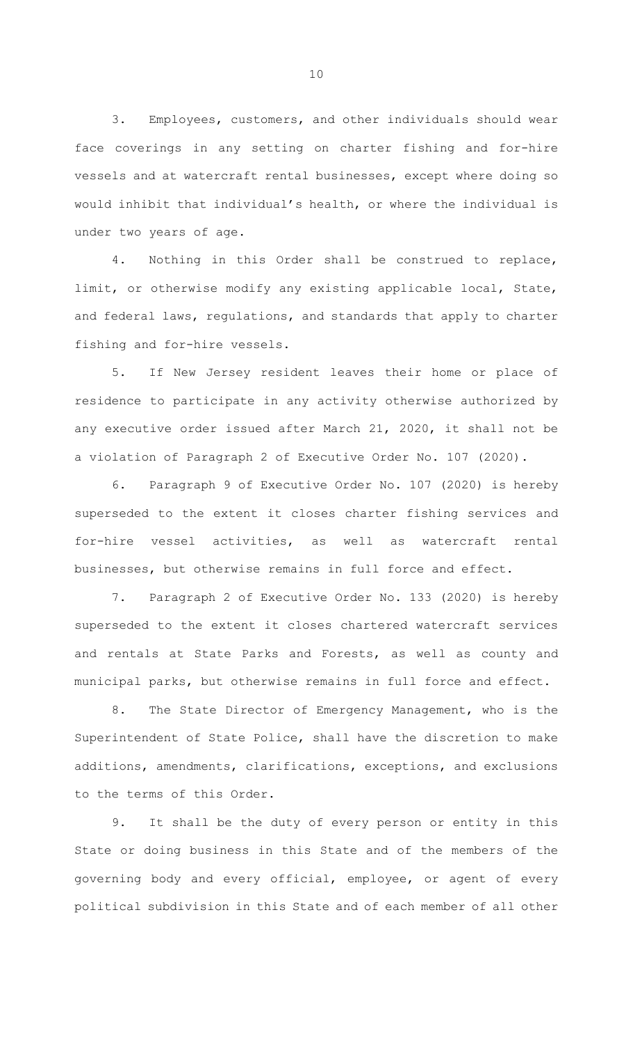3. Employees, customers, and other individuals should wear face coverings in any setting on charter fishing and for-hire vessels and at watercraft rental businesses, except where doing so would inhibit that individual's health, or where the individual is under two years of age.

4. Nothing in this Order shall be construed to replace, limit, or otherwise modify any existing applicable local, State, and federal laws, regulations, and standards that apply to charter fishing and for-hire vessels.

5. If New Jersey resident leaves their home or place of residence to participate in any activity otherwise authorized by any executive order issued after March 21, 2020, it shall not be a violation of Paragraph 2 of Executive Order No. 107 (2020).

6. Paragraph 9 of Executive Order No. 107 (2020) is hereby superseded to the extent it closes charter fishing services and for-hire vessel activities, as well as watercraft rental businesses, but otherwise remains in full force and effect.

7. Paragraph 2 of Executive Order No. 133 (2020) is hereby superseded to the extent it closes chartered watercraft services and rentals at State Parks and Forests, as well as county and municipal parks, but otherwise remains in full force and effect.

8. The State Director of Emergency Management, who is the Superintendent of State Police, shall have the discretion to make additions, amendments, clarifications, exceptions, and exclusions to the terms of this Order.

9. It shall be the duty of every person or entity in this State or doing business in this State and of the members of the governing body and every official, employee, or agent of every political subdivision in this State and of each member of all other